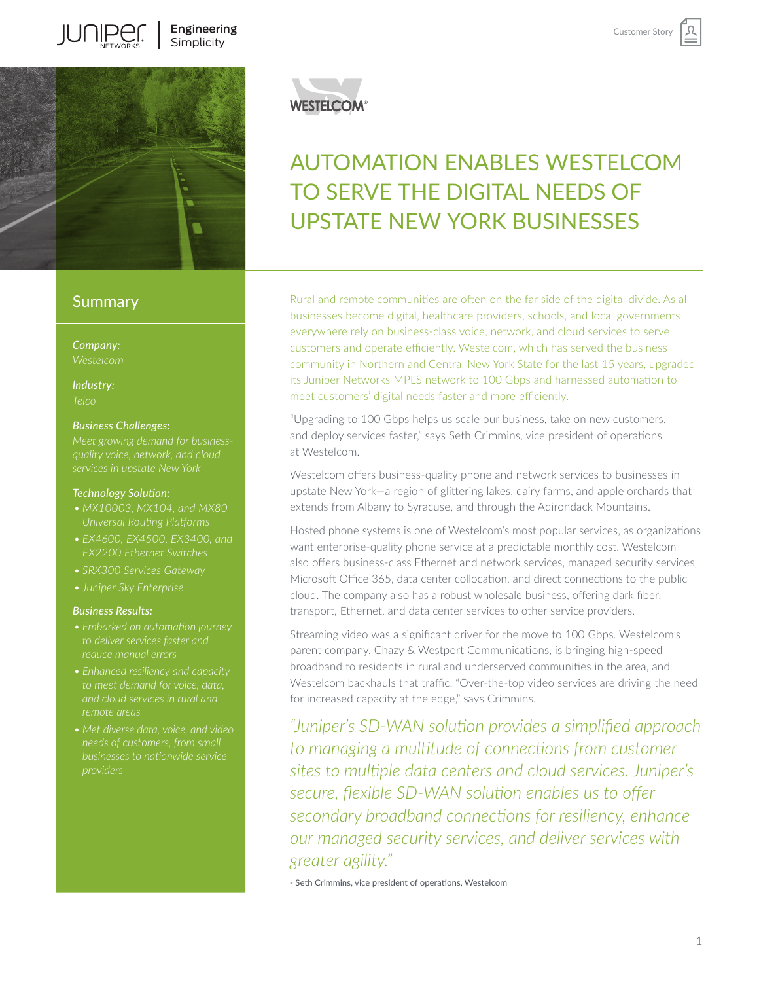

## **Summary**

*Company:*

*Industry:*

#### *Business Challenges:*

*Meet growing demand for businessservices in upstate New York* 

#### *Technology Solution:*

- 
- *• EX4600, EX4500, EX3400, and EX2200 Ethernet Switches*
- 
- 

#### *Business Results:*

- 
- *• Enhanced resiliency and capacity to meet demand for voice, data, and cloud services in rural and remote areas*
- 

**WESTELCOM®** 

# AUTOMATION ENABLES WESTELCOM TO SERVE THE DIGITAL NEEDS OF UPSTATE NEW YORK BUSINESSES

Rural and remote communities are often on the far side of the digital divide. As all businesses become digital, healthcare providers, schools, and local governments everywhere rely on business-class voice, network, and cloud services to serve customers and operate efficiently. Westelcom, which has served the business community in Northern and Central New York State for the last 15 years, upgraded its Juniper Networks MPLS network to 100 Gbps and harnessed automation to meet customers' digital needs faster and more efficiently.

"Upgrading to 100 Gbps helps us scale our business, take on new customers, and deploy services faster," says Seth Crimmins, vice president of operations at Westelcom.

Westelcom offers business-quality phone and network services to businesses in upstate New York—a region of glittering lakes, dairy farms, and apple orchards that extends from Albany to Syracuse, and through the Adirondack Mountains.

Hosted phone systems is one of Westelcom's most popular services, as organizations want enterprise-quality phone service at a predictable monthly cost. Westelcom also offers business-class Ethernet and network services, managed security services, Microsoft Office 365, data center collocation, and direct connections to the public cloud. The company also has a robust wholesale business, offering dark fiber, transport, Ethernet, and data center services to other service providers.

Streaming video was a significant driver for the move to 100 Gbps. Westelcom's parent company, Chazy & Westport Communications, is bringing high-speed broadband to residents in rural and underserved communities in the area, and Westelcom backhauls that traffic. "Over-the-top video services are driving the need for increased capacity at the edge," says Crimmins.

*"Juniper's SD-WAN solution provides a simplified approach to managing a multitude of connections from customer sites to multiple data centers and cloud services. Juniper's secure, flexible SD-WAN solution enables us to offer secondary broadband connections for resiliency, enhance our managed security services, and deliver services with greater agility."* 

- Seth Crimmins, vice president of operations, Westelcom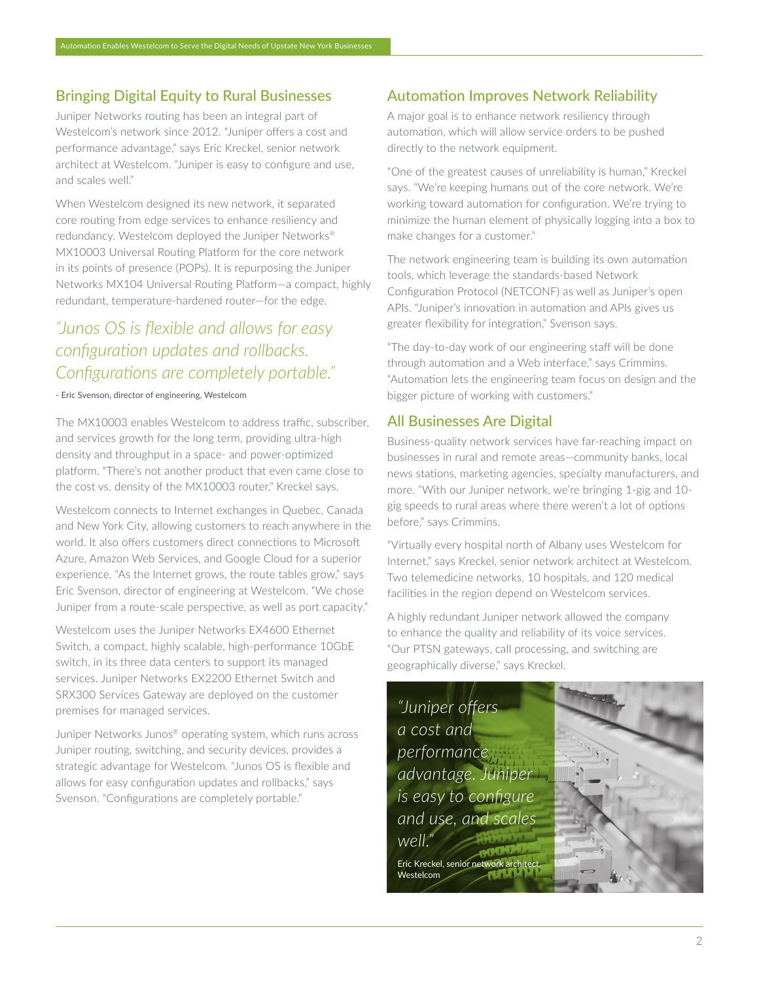## Bringing Digital Equity to Rural Businesses

Juniper Networks routing has been an integral part of Westelcom's network since 2012. "Juniper offers a cost and performance advantage," says Eric Kreckel, senior network architect at Westelcom. "Juniper is easy to configure and use, and scales well."

When Westelcom designed its new network, it separated core routing from edge services to enhance resiliency and redundancy. Westelcom deployed the Juniper Networks® MX10003 Universal Routing Platform for the core network in its points of presence (POPs). It is repurposing the Juniper Networks MX104 Universal Routing Platform—a compact, highly redundant, temperature-hardened router—for the edge.

## *"Junos OS is flexible and allows for easy configuration updates and rollbacks. Configurations are completely portable."*

#### - Eric Svenson, director of engineering, Westelcom

The MX10003 enables Westelcom to address traffic, subscriber, and services growth for the long term, providing ultra-high density and throughput in a space- and power-optimized platform. "There's not another product that even came close to the cost vs. density of the MX10003 router," Kreckel says.

Westelcom connects to Internet exchanges in Quebec, Canada and New York City, allowing customers to reach anywhere in the world. It also offers customers direct connections to Microsoft Azure, Amazon Web Services, and Google Cloud for a superior experience. "As the Internet grows, the route tables grow," says Eric Svenson, director of engineering at Westelcom. "We chose Juniper from a route-scale perspective, as well as port capacity."

Westelcom uses the Juniper Networks EX4600 Ethernet Switch, a compact, highly scalable, high-performance 10GbE switch, in its three data centers to support its managed services. Juniper Networks EX2200 Ethernet Switch and SRX300 Services Gateway are deployed on the customer premises for managed services.

Juniper Networks Junos® operating system, which runs across Juniper routing, switching, and security devices, provides a strategic advantage for Westelcom. "Junos OS is flexible and allows for easy configuration updates and rollbacks," says Svenson. "Configurations are completely portable."

## Automation Improves Network Reliability

A major goal is to enhance network resiliency through automation, which will allow service orders to be pushed directly to the network equipment.

"One of the greatest causes of unreliability is human," Kreckel says. "We're keeping humans out of the core network. We're working toward automation for configuration. We're trying to minimize the human element of physically logging into a box to make changes for a customer."

The network engineering team is building its own automation tools, which leverage the standards-based Network Configuration Protocol (NETCONF) as well as Juniper's open APIs. "Juniper's innovation in automation and APIs gives us greater flexibility for integration," Svenson says.

"The day-to-day work of our engineering staff will be done through automation and a Web interface," says Crimmins. "Automation lets the engineering team focus on design and the bigger picture of working with customers."

### All Businesses Are Digital

Business-quality network services have far-reaching impact on businesses in rural and remote areas—community banks, local news stations, marketing agencies, specialty manufacturers, and more. "With our Juniper network, we're bringing 1-gig and 10 gig speeds to rural areas where there weren't a lot of options before," says Crimmins.

"Virtually every hospital north of Albany uses Westelcom for Internet," says Kreckel, senior network architect at Westelcom. Two telemedicine networks, 10 hospitals, and 120 medical facilities in the region depend on Westelcom services.

A highly redundant Juniper network allowed the company to enhance the quality and reliability of its voice services. "Our PTSN gateways, call processing, and switching are geographically diverse," says Kreckel.

*"Juniper offers a cost and performance advantage. Juniper is easy to configure and use, and scales well."*  Eric Kreckel, senior network architect,<br>Westelcom

Westelcom \_